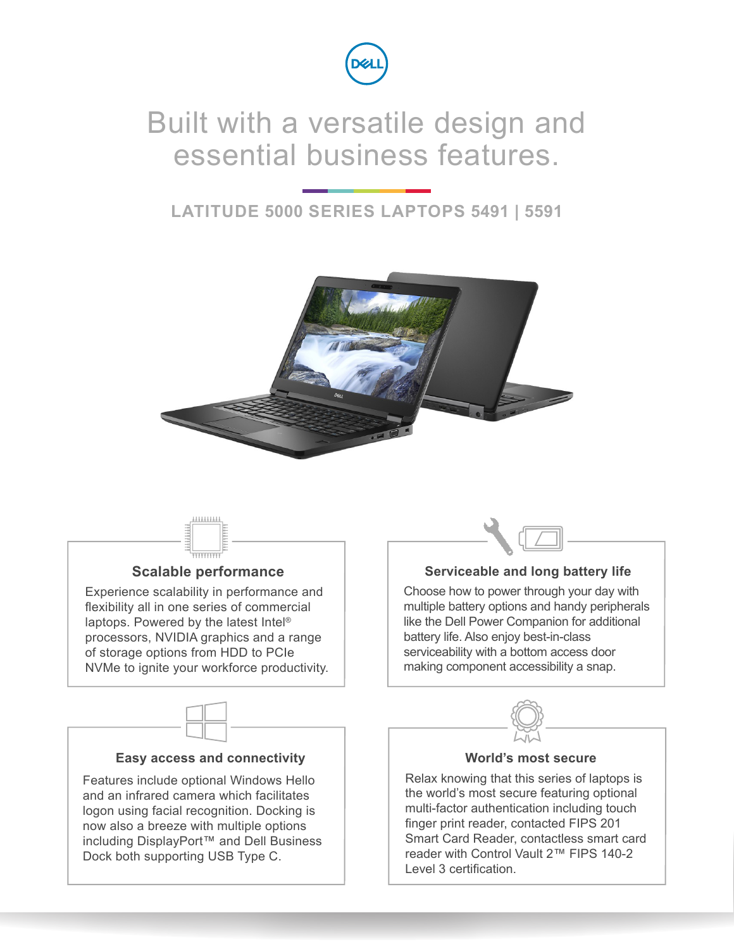

## Built with a versatile design and essential business features.

### **LATITUDE 5000 SERIES LAPTOPS 5491 | 5591**





### **Scalable performance**

Experience scalability in performance and flexibility all in one series of commercial laptops. Powered by the latest Intel® processors, NVIDIA graphics and a range of storage options from HDD to PCIe NVMe to ignite your workforce productivity.



### **Easy access and connectivity**

Features include optional Windows Hello and an infrared camera which facilitates logon using facial recognition. Docking is now also a breeze with multiple options including DisplayPort™ and Dell Business Dock both supporting USB Type C.



### **Serviceable and long battery life**

Choose how to power through your day with multiple battery options and handy peripherals like the Dell Power Companion for additional battery life. Also enjoy best-in-class serviceability with a bottom access door making component accessibility a snap.



### **World's most secure**

Relax knowing that this series of laptops is the world's most secure featuring optional multi-factor authentication including touch finger print reader, contacted FIPS 201 Smart Card Reader, contactless smart card reader with Control Vault 2™ FIPS 140-2 Level 3 certification.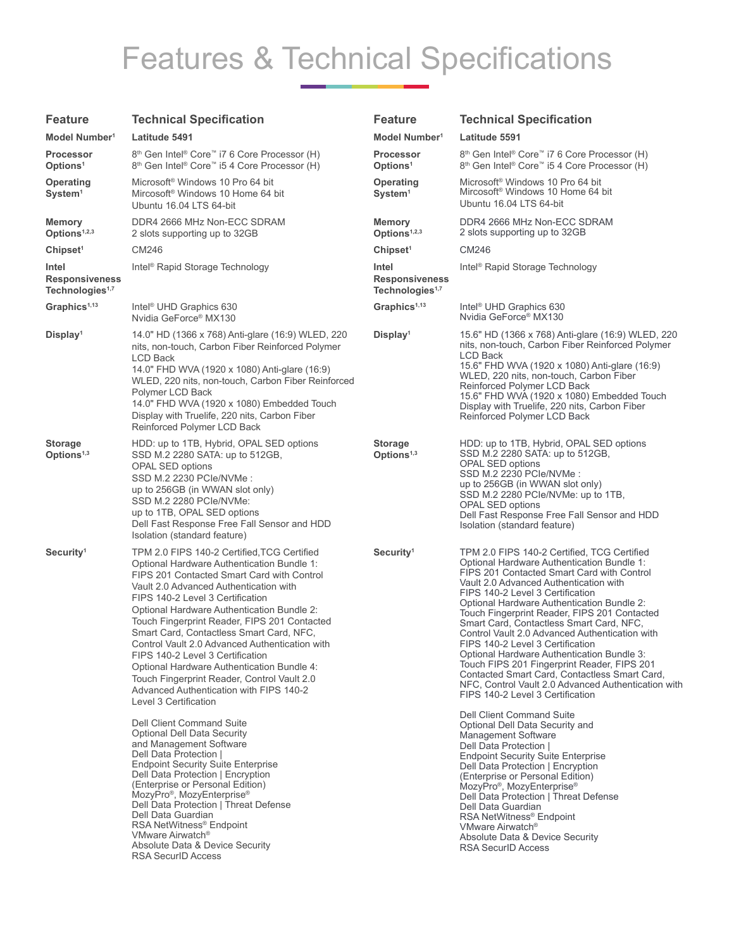# Features & Technical Specifications

| <b>Feature</b>                                                | <b>Technical Specification</b>                                                                                                                                                                                                                                                                                                                                                                                                                                                                                                                                                                                                                      | <b>Feature</b>                                                | <b>Technical Specification</b>                                                                                                                                                                                                                                                                                                                                                                                                                                                                                                                                                                                                                                                                                              |
|---------------------------------------------------------------|-----------------------------------------------------------------------------------------------------------------------------------------------------------------------------------------------------------------------------------------------------------------------------------------------------------------------------------------------------------------------------------------------------------------------------------------------------------------------------------------------------------------------------------------------------------------------------------------------------------------------------------------------------|---------------------------------------------------------------|-----------------------------------------------------------------------------------------------------------------------------------------------------------------------------------------------------------------------------------------------------------------------------------------------------------------------------------------------------------------------------------------------------------------------------------------------------------------------------------------------------------------------------------------------------------------------------------------------------------------------------------------------------------------------------------------------------------------------------|
| Model Number <sup>1</sup>                                     | Latitude 5491                                                                                                                                                                                                                                                                                                                                                                                                                                                                                                                                                                                                                                       | Model Number <sup>1</sup>                                     | Latitude 5591                                                                                                                                                                                                                                                                                                                                                                                                                                                                                                                                                                                                                                                                                                               |
| <b>Processor</b><br>Options <sup>1</sup>                      | 8 <sup>th</sup> Gen Intel <sup>®</sup> Core <sup>™</sup> i7 6 Core Processor (H)<br>8 <sup>th</sup> Gen Intel <sup>®</sup> Core <sup>™</sup> i5 4 Core Processor (H)                                                                                                                                                                                                                                                                                                                                                                                                                                                                                | <b>Processor</b><br>Options <sup>1</sup>                      | 8 <sup>th</sup> Gen Intel <sup>®</sup> Core <sup>™</sup> i7 6 Core Processor (H)<br>8 <sup>th</sup> Gen Intel <sup>®</sup> Core <sup>™</sup> i5 4 Core Processor (H)                                                                                                                                                                                                                                                                                                                                                                                                                                                                                                                                                        |
| Operating<br>System <sup>1</sup>                              | Microsoft <sup>®</sup> Windows 10 Pro 64 bit<br>Mircosoft <sup>®</sup> Windows 10 Home 64 bit<br>Ubuntu 16.04 LTS 64-bit                                                                                                                                                                                                                                                                                                                                                                                                                                                                                                                            | <b>Operating</b><br>System <sup>1</sup>                       | Microsoft <sup>®</sup> Windows 10 Pro 64 bit<br>Mircosoft <sup>®</sup> Windows 10 Home 64 bit<br>Ubuntu 16.04 LTS 64-bit                                                                                                                                                                                                                                                                                                                                                                                                                                                                                                                                                                                                    |
| Memory<br>Options <sup>1,2,3</sup>                            | DDR4 2666 MHz Non-ECC SDRAM<br>2 slots supporting up to 32GB                                                                                                                                                                                                                                                                                                                                                                                                                                                                                                                                                                                        | Memory<br>Options <sup>1,2,3</sup>                            | DDR4 2666 MHz Non-ECC SDRAM<br>2 slots supporting up to 32GB                                                                                                                                                                                                                                                                                                                                                                                                                                                                                                                                                                                                                                                                |
| Chipset <sup>1</sup>                                          | CM246                                                                                                                                                                                                                                                                                                                                                                                                                                                                                                                                                                                                                                               | Chipset <sup>1</sup>                                          | CM246                                                                                                                                                                                                                                                                                                                                                                                                                                                                                                                                                                                                                                                                                                                       |
| Intel<br><b>Responsiveness</b><br>Technologies <sup>1,7</sup> | Intel <sup>®</sup> Rapid Storage Technology                                                                                                                                                                                                                                                                                                                                                                                                                                                                                                                                                                                                         | Intel<br><b>Responsiveness</b><br>Technologies <sup>1,7</sup> | Intel <sup>®</sup> Rapid Storage Technology                                                                                                                                                                                                                                                                                                                                                                                                                                                                                                                                                                                                                                                                                 |
| $Graphics1,13$                                                | Intel <sup>®</sup> UHD Graphics 630<br>Nvidia GeForce <sup>®</sup> MX130                                                                                                                                                                                                                                                                                                                                                                                                                                                                                                                                                                            | Graphics <sup>1,13</sup>                                      | Intel <sup>®</sup> UHD Graphics 630<br>Nvidia GeForce <sup>®</sup> MX130                                                                                                                                                                                                                                                                                                                                                                                                                                                                                                                                                                                                                                                    |
| Display <sup>1</sup>                                          | 14.0" HD (1366 x 768) Anti-glare (16:9) WLED, 220<br>nits, non-touch, Carbon Fiber Reinforced Polymer<br><b>LCD Back</b><br>14.0" FHD WVA (1920 x 1080) Anti-glare (16:9)<br>WLED, 220 nits, non-touch, Carbon Fiber Reinforced<br>Polymer LCD Back<br>14.0" FHD WVA (1920 x 1080) Embedded Touch<br>Display with Truelife, 220 nits, Carbon Fiber<br>Reinforced Polymer LCD Back                                                                                                                                                                                                                                                                   | Display <sup>1</sup>                                          | 15.6" HD (1366 x 768) Anti-glare (16:9) WLED, 220<br>nits, non-touch, Carbon Fiber Reinforced Polymer<br><b>LCD Back</b><br>15.6" FHD WVA (1920 x 1080) Anti-glare (16:9)<br>WLED, 220 nits, non-touch, Carbon Fiber<br>Reinforced Polymer LCD Back<br>15.6" FHD WVA (1920 x 1080) Embedded Touch<br>Display with Truelife, 220 nits, Carbon Fiber<br>Reinforced Polymer LCD Back                                                                                                                                                                                                                                                                                                                                           |
| <b>Storage</b><br>Options <sup>1,3</sup>                      | HDD: up to 1TB, Hybrid, OPAL SED options<br>SSD M.2 2280 SATA: up to 512GB,<br><b>OPAL SED options</b><br>SSD M.2 2230 PCIe/NVMe :<br>up to 256GB (in WWAN slot only)<br>SSD M.2 2280 PCIe/NVMe:<br>up to 1TB, OPAL SED options<br>Dell Fast Response Free Fall Sensor and HDD<br>Isolation (standard feature)                                                                                                                                                                                                                                                                                                                                      | <b>Storage</b><br>Options <sup>1,3</sup>                      | HDD: up to 1TB, Hybrid, OPAL SED options<br>SSD M.2 2280 SATA: up to 512GB,<br>OPAL SED options<br>SSD M.2 2230 PCIe/NVMe:<br>up to 256GB (in WWAN slot only)<br>SSD M.2 2280 PCIe/NVMe: up to 1TB,<br><b>OPAL SED options</b><br>Dell Fast Response Free Fall Sensor and HDD<br>Isolation (standard feature)                                                                                                                                                                                                                                                                                                                                                                                                               |
| Security <sup>1</sup>                                         | TPM 2.0 FIPS 140-2 Certified, TCG Certified<br>Optional Hardware Authentication Bundle 1:<br>FIPS 201 Contacted Smart Card with Control<br>Vault 2.0 Advanced Authentication with<br>FIPS 140-2 Level 3 Certification<br>Optional Hardware Authentication Bundle 2:<br>Touch Fingerprint Reader, FIPS 201 Contacted<br>Smart Card, Contactless Smart Card, NFC,<br>Control Vault 2.0 Advanced Authentication with<br>FIPS 140-2 Level 3 Certification<br>Optional Hardware Authentication Bundle 4:<br>Touch Fingerprint Reader, Control Vault 2.0<br>Advanced Authentication with FIPS 140-2<br>Level 3 Certification<br>Dell Client Command Suite | Security <sup>1</sup>                                         | TPM 2.0 FIPS 140-2 Certified, TCG Certified<br>Optional Hardware Authentication Bundle 1:<br>FIPS 201 Contacted Smart Card with Control<br>Vault 2.0 Advanced Authentication with<br>FIPS 140-2 Level 3 Certification<br>Optional Hardware Authentication Bundle 2:<br>Touch Fingerprint Reader, FIPS 201 Contacted<br>Smart Card, Contactless Smart Card, NFC,<br>Control Vault 2.0 Advanced Authentication with<br>FIPS 140-2 Level 3 Certification<br>Optional Hardware Authentication Bundle 3:<br>Touch FIPS 201 Fingerprint Reader, FIPS 201<br>Contacted Smart Card, Contactless Smart Card,<br>NFC, Control Vault 2.0 Advanced Authentication with<br>FIPS 140-2 Level 3 Certification<br>Dell Client Command Suite |
|                                                               | <b>Optional Dell Data Security</b><br>and Management Software<br>Dell Data Protection  <br><b>Endpoint Security Suite Enterprise</b><br>Dell Data Protection   Encryption<br>(Enterprise or Personal Edition)<br>MozyPro <sup>®</sup> , MozyEnterprise <sup>®</sup><br>Dell Data Protection   Threat Defense<br>Dell Data Guardian<br>RSA NetWitness® Endpoint<br>VMware Airwatch <sup>®</sup><br>Absolute Data & Device Security<br><b>RSA SecurID Access</b>                                                                                                                                                                                      |                                                               | Optional Dell Data Security and<br><b>Management Software</b><br>Dell Data Protection  <br><b>Endpoint Security Suite Enterprise</b><br>Dell Data Protection   Encryption<br>(Enterprise or Personal Edition)<br>MozyPro®, MozyEnterprise®<br>Dell Data Protection   Threat Defense<br>Dell Data Guardian<br>RSA NetWitness <sup>®</sup> Endpoint<br>VMware Airwatch <sup>®</sup><br>Absolute Data & Device Security<br><b>RSA SecurID Access</b>                                                                                                                                                                                                                                                                           |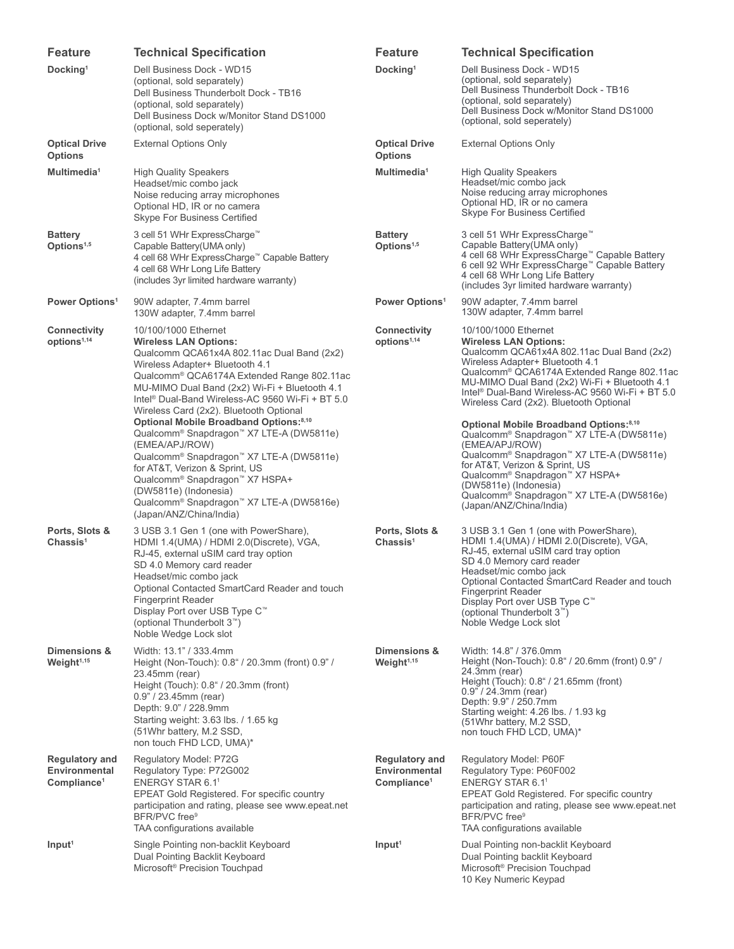| <b>Feature</b>                                                    | <b>Technical Specification</b>                                                                                                                                                                                                                                                                                                                                                                                                                                                                                                                                                                                                                                                                                                                                                      | <b>Feature</b>                                                    | <b>Technical Specification</b>                                                                                                                                                                                                                                                                                                                                                                                                                                                                                                                                              |
|-------------------------------------------------------------------|-------------------------------------------------------------------------------------------------------------------------------------------------------------------------------------------------------------------------------------------------------------------------------------------------------------------------------------------------------------------------------------------------------------------------------------------------------------------------------------------------------------------------------------------------------------------------------------------------------------------------------------------------------------------------------------------------------------------------------------------------------------------------------------|-------------------------------------------------------------------|-----------------------------------------------------------------------------------------------------------------------------------------------------------------------------------------------------------------------------------------------------------------------------------------------------------------------------------------------------------------------------------------------------------------------------------------------------------------------------------------------------------------------------------------------------------------------------|
| Docking <sup>1</sup>                                              | Dell Business Dock - WD15<br>(optional, sold separately)<br>Dell Business Thunderbolt Dock - TB16<br>(optional, sold separately)<br>Dell Business Dock w/Monitor Stand DS1000<br>(optional, sold seperately)                                                                                                                                                                                                                                                                                                                                                                                                                                                                                                                                                                        | Docking <sup>1</sup>                                              | Dell Business Dock - WD15<br>(optional, sold separately)<br>Dell Business Thunderbolt Dock - TB16<br>(optional, sold separately)<br>Dell Business Dock w/Monitor Stand DS1000<br>(optional, sold seperately)                                                                                                                                                                                                                                                                                                                                                                |
| <b>Optical Drive</b><br><b>Options</b>                            | <b>External Options Only</b>                                                                                                                                                                                                                                                                                                                                                                                                                                                                                                                                                                                                                                                                                                                                                        | <b>Optical Drive</b><br><b>Options</b>                            | <b>External Options Only</b>                                                                                                                                                                                                                                                                                                                                                                                                                                                                                                                                                |
| Multimedia <sup>1</sup>                                           | <b>High Quality Speakers</b><br>Headset/mic combo jack<br>Noise reducing array microphones<br>Optional HD, IR or no camera<br>Skype For Business Certified                                                                                                                                                                                                                                                                                                                                                                                                                                                                                                                                                                                                                          | Multimedia <sup>1</sup>                                           | <b>High Quality Speakers</b><br>Headset/mic combo jack<br>Noise reducing array microphones<br>Optional HD, IR or no camera<br><b>Skype For Business Certified</b>                                                                                                                                                                                                                                                                                                                                                                                                           |
| <b>Battery</b><br>Options <sup>1,5</sup>                          | 3 cell 51 WHr ExpressCharge™<br>Capable Battery (UMA only)<br>4 cell 68 WHr ExpressCharge™ Capable Battery<br>4 cell 68 WHr Long Life Battery<br>(includes 3yr limited hardware warranty)                                                                                                                                                                                                                                                                                                                                                                                                                                                                                                                                                                                           | <b>Battery</b><br>Options <sup>1,5</sup>                          | 3 cell 51 WHr ExpressCharge™<br>Capable Battery (UMA only)<br>4 cell 68 WHr ExpressCharge™ Capable Battery<br>6 cell 92 WHr ExpressCharge™ Capable Battery<br>4 cell 68 WHr Long Life Battery<br>(includes 3yr limited hardware warranty)                                                                                                                                                                                                                                                                                                                                   |
| Power Options <sup>1</sup>                                        | 90W adapter, 7.4mm barrel<br>130W adapter, 7.4mm barrel                                                                                                                                                                                                                                                                                                                                                                                                                                                                                                                                                                                                                                                                                                                             | Power Options <sup>1</sup>                                        | 90W adapter, 7.4mm barrel<br>130W adapter, 7.4mm barrel                                                                                                                                                                                                                                                                                                                                                                                                                                                                                                                     |
| Connectivity<br>options <sup>1,14</sup>                           | 10/100/1000 Ethernet<br><b>Wireless LAN Options:</b><br>Qualcomm QCA61x4A 802.11ac Dual Band (2x2)<br>Wireless Adapter+ Bluetooth 4.1<br>Qualcomm <sup>®</sup> QCA6174A Extended Range 802.11ac<br>MU-MIMO Dual Band (2x2) Wi-Fi + Bluetooth 4.1<br>Intel <sup>®</sup> Dual-Band Wireless-AC 9560 Wi-Fi + BT 5.0<br>Wireless Card (2x2). Bluetooth Optional<br>Optional Mobile Broadband Options:8,10<br>Qualcomm <sup>®</sup> Snapdragon <sup>™</sup> X7 LTE-A (DW5811e)<br>(EMEA/APJ/ROW)<br>Qualcomm <sup>®</sup> Snapdragon <sup>™</sup> X7 LTE-A (DW5811e)<br>for AT&T, Verizon & Sprint, US<br>Qualcomm <sup>®</sup> Snapdragon <sup>™</sup> X7 HSPA+<br>(DW5811e) (Indonesia)<br>Qualcomm <sup>®</sup> Snapdragon <sup>™</sup> X7 LTE-A (DW5816e)<br>(Japan/ANZ/China/India) | Connectivity<br>options <sup>1,14</sup>                           | 10/100/1000 Ethernet<br><b>Wireless LAN Options:</b><br>Qualcomm QCA61x4A 802.11ac Dual Band (2x2)<br>Wireless Adapter+ Bluetooth 4.1<br>Qualcomm <sup>®</sup> QCA6174A Extended Range 802.11ac<br>MU-MIMO Dual Band (2x2) Wi-Fi + Bluetooth 4.1<br>Intel <sup>®</sup> Dual-Band Wireless-AC 9560 Wi-Fi + BT 5.0<br>Wireless Card (2x2). Bluetooth Optional<br>Optional Mobile Broadband Options: <sup>8,10</sup><br>Qualcomm <sup>®</sup> Snapdragon <sup>™</sup> X7 LTE-A (DW5811e)<br>(EMEA/APJ/ROW)<br>Qualcomm <sup>®</sup> Snapdragon <sup>™</sup> X7 LTE-A (DW5811e) |
|                                                                   |                                                                                                                                                                                                                                                                                                                                                                                                                                                                                                                                                                                                                                                                                                                                                                                     |                                                                   | for AT&T, Verizon & Sprint, US<br>Qualcomm <sup>®</sup> Snapdragon <sup>™</sup> X7 HSPA+<br>(DW5811e) (Indonesia)<br>Qualcomm <sup>®</sup> Snapdragon <sup>™</sup> X7 LTE-A (DW5816e)<br>(Japan/ANZ/China/India)                                                                                                                                                                                                                                                                                                                                                            |
| Ports, Slots &<br>Chassis <sup>1</sup>                            | 3 USB 3.1 Gen 1 (one with PowerShare),<br>HDMI 1.4(UMA) / HDMI 2.0(Discrete), VGA,<br>RJ-45, external uSIM card tray option<br>SD 4.0 Memory card reader<br>Headset/mic combo jack<br>Optional Contacted SmartCard Reader and touch<br><b>Fingerprint Reader</b><br>Display Port over USB Type C™<br>(optional Thunderbolt 3 <sup>™</sup> )<br>Noble Wedge Lock slot                                                                                                                                                                                                                                                                                                                                                                                                                | Ports, Slots &<br>Chassis <sup>1</sup>                            | 3 USB 3.1 Gen 1 (one with PowerShare),<br>HDMI 1.4(UMA) / HDMI 2.0(Discrete), VGA,<br>RJ-45, external uSIM card tray option<br>SD 4.0 Memory card reader<br>Headset/mic combo jack<br>Optional Contacted SmartCard Reader and touch<br><b>Fingerprint Reader</b><br>Display Port over USB Type C™<br>(optional Thunderbolt 3 <sup>™</sup> )<br>Noble Wedge Lock slot                                                                                                                                                                                                        |
| Dimensions &<br>Weight <sup>1,15</sup>                            | Width: 13.1" / 333.4mm<br>Height (Non-Touch): 0.8" / 20.3mm (front) 0.9" /<br>23.45mm (rear)<br>Height (Touch): 0.8" / 20.3mm (front)<br>$0.9" / 23.45$ mm (rear)<br>Depth: 9.0" / 228.9mm<br>Starting weight: 3.63 lbs. / 1.65 kg<br>(51Whr battery, M.2 SSD,<br>non touch FHD LCD, UMA)*                                                                                                                                                                                                                                                                                                                                                                                                                                                                                          | Dimensions &<br>Weight <sup>1,15</sup>                            | Width: 14.8" / 376.0mm<br>Height (Non-Touch): 0.8" / 20.6mm (front) 0.9" /<br>24.3mm (rear)<br>Height (Touch): 0.8" / 21.65mm (front)<br>$0.9" / 24.3mm$ (rear)<br>Depth: 9.9" / 250.7mm<br>Starting weight: 4.26 lbs. / 1.93 kg<br>(51Whr battery, M.2 SSD,<br>non touch FHD LCD, UMA)*                                                                                                                                                                                                                                                                                    |
| <b>Regulatory and</b><br>Environmental<br>Compliance <sup>1</sup> | Regulatory Model: P72G<br>Regulatory Type: P72G002<br>ENERGY STAR 6.1 <sup>1</sup><br>EPEAT Gold Registered. For specific country<br>participation and rating, please see www.epeat.net<br>BFR/PVC free <sup>9</sup><br>TAA configurations available                                                                                                                                                                                                                                                                                                                                                                                                                                                                                                                                | <b>Regulatory and</b><br>Environmental<br>Compliance <sup>1</sup> | Regulatory Model: P60F<br>Regulatory Type: P60F002<br><b>ENERGY STAR 6.11</b><br>EPEAT Gold Registered. For specific country<br>participation and rating, please see www.epeat.net<br>BFR/PVC free <sup>9</sup><br>TAA configurations available                                                                                                                                                                                                                                                                                                                             |
| Input <sup>1</sup>                                                | Single Pointing non-backlit Keyboard<br>Dual Pointing Backlit Keyboard<br>Microsoft <sup>®</sup> Precision Touchpad                                                                                                                                                                                                                                                                                                                                                                                                                                                                                                                                                                                                                                                                 | Input <sup>1</sup>                                                | Dual Pointing non-backlit Keyboard<br>Dual Pointing backlit Keyboard<br>Microsoft <sup>®</sup> Precision Touchpad<br>10 Key Numeric Keypad                                                                                                                                                                                                                                                                                                                                                                                                                                  |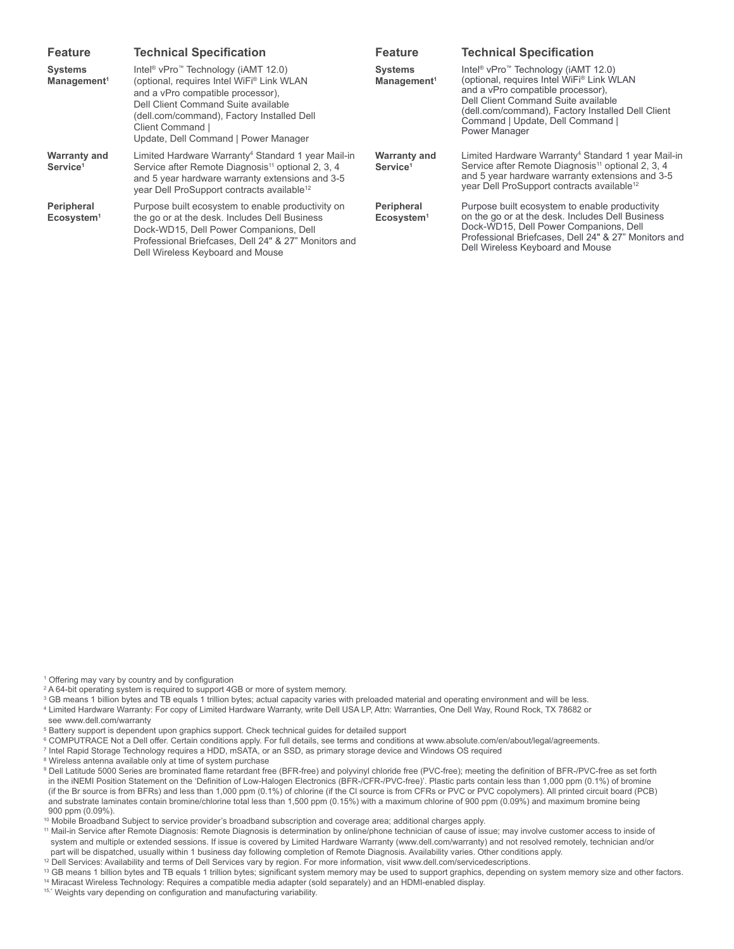| <b>Feature</b>                              | <b>Technical Specification</b>                                                                                                                                                                                                                                                                 | <b>Feature</b>                              | <b>Technical Specification</b>                                                                                                                                                                                                                                                                 |
|---------------------------------------------|------------------------------------------------------------------------------------------------------------------------------------------------------------------------------------------------------------------------------------------------------------------------------------------------|---------------------------------------------|------------------------------------------------------------------------------------------------------------------------------------------------------------------------------------------------------------------------------------------------------------------------------------------------|
| <b>Systems</b><br>Management <sup>1</sup>   | Intel <sup>®</sup> vPro <sup>™</sup> Technology (iAMT 12.0)<br>(optional, requires Intel WiFi® Link WLAN<br>and a vPro compatible processor).<br>Dell Client Command Suite available<br>(dell.com/command), Factory Installed Dell<br>Client Command  <br>Update, Dell Command   Power Manager | <b>Systems</b><br>Management <sup>1</sup>   | Intel <sup>®</sup> vPro <sup>™</sup> Technology (iAMT 12.0)<br>(optional, requires Intel WiFi® Link WLAN<br>and a vPro compatible processor).<br>Dell Client Command Suite available<br>(dell.com/command), Factory Installed Dell Client<br>Command   Update, Dell Command  <br>Power Manager |
| <b>Warranty and</b><br>Service <sup>1</sup> | Limited Hardware Warranty <sup>4</sup> Standard 1 year Mail-in<br>Service after Remote Diagnosis <sup>11</sup> optional 2, 3, 4<br>and 5 year hardware warranty extensions and 3-5<br>year Dell ProSupport contracts available <sup>12</sup>                                                   | <b>Warranty and</b><br>Service <sup>1</sup> | Limited Hardware Warranty <sup>4</sup> Standard 1 year Mail-in<br>Service after Remote Diagnosis <sup>11</sup> optional 2, 3, 4<br>and 5 year hardware warranty extensions and 3-5<br>year Dell ProSupport contracts available <sup>12</sup>                                                   |
| Peripheral<br>Ecosystem <sup>1</sup>        | Purpose built ecosystem to enable productivity on<br>the go or at the desk. Includes Dell Business<br>Dock-WD15, Dell Power Companions, Dell<br>Professional Briefcases, Dell 24" & 27" Monitors and<br>Dell Wireless Keyboard and Mouse                                                       | Peripheral<br>Ecosystem <sup>1</sup>        | Purpose built ecosystem to enable productivity<br>on the go or at the desk. Includes Dell Business<br>Dock-WD15, Dell Power Companions, Dell<br>Professional Briefcases, Dell 24" & 27" Monitors and<br>Dell Wireless Keyboard and Mouse                                                       |

<sup>1</sup> Offering may vary by country and by configuration

<sup>2</sup> A 64-bit operating system is required to support 4GB or more of system memory.

<sup>3</sup> GB means 1 billion bytes and TB equals 1 trillion bytes; actual capacity varies with preloaded material and operating environment and will be less. 4 Limited Hardware Warranty: For copy of Limited Hardware Warranty, write Dell USA LP, Attn: Warranties, One Dell Way, Round Rock, TX 78682 or see [www.dell.com/warranty](http://www.dell.com/learn/us/en/uscorp1/terms-of-sale-consumer-warranties?s=corp)

5 Battery support is dependent upon graphics support. Check technical guides for detailed support

© COMPUTRACE Not a Dell offer[.](http://www.absolute.com/en/about/legal/agreements) Certain conditions apply. For full details, see terms and conditions at www.absolute.com/en/about/legal/agreements.<br>7 Intel Rapid Storage Technology requires a HDD, mSATA, or an SSD, as prim

<sup>7</sup> Intel Rapid Storage Technology requires a HDD, mSATA, or an SSD, as primary storage device and Windows OS required

<sup>8</sup> Wireless antenna available only at time of system purchase

9 Dell Latitude 5000 Series are brominated flame retardant free (BFR-free) and polyvinyl chloride free (PVC-free); meeting the definition of BFR-/PVC-free as set forth in the iNEMI Position Statement on the 'Definition of Low-Halogen Electronics (BFR-/CFR-/PVC-free)'. Plastic parts contain less than 1,000 ppm (0.1%) of bromine (if the Br source is from BFRs) and less than 1,000 ppm (0.1%) of chlorine (if the Cl source is from CFRs or PVC or PVC copolymers). All printed circuit board (PCB) and substrate laminates contain bromine/chlorine total less than 1,500 ppm (0.15%) with a maximum chlorine of 900 ppm (0.09%) and maximum bromine being<br>900 ppm (0.09%).

<sup>10</sup> Mobile Broadband Subject to service provider's broadband subscription and coverage area; additional charges apply.<br><sup>11</sup> Mail-in Service after Remote Diagnosis: Remote Diagnosis is determination by online/phone technic system and multiple or extended sessions. If issue is covered by Limited Hardware Warranty ([www.dell.com/warranty](https://www.absolute.com/en/about/legal/agreements)) and not resolved remotely, technician and/or part will be dispatched, usually within 1 business day following completion of Remote Diagnosis. Availability varies. Other conditions apply.

<sup>12</sup> Dell Services: Availability and terms of Dell Services vary by region. For more information, visit www.dell.com/servicedescriptions.

<sup>13</sup> GB means 1 billion bytes and TB equals 1 trillion bytes; significant system memory may be used to support graphics, depending on system memory size and other factors. 14 Miracast Wireless Technology: Requires a compatible media adapter (sold separately) and an HDMI-enabled display.

15,\* Weights vary depending on configuration and manufacturing variability.